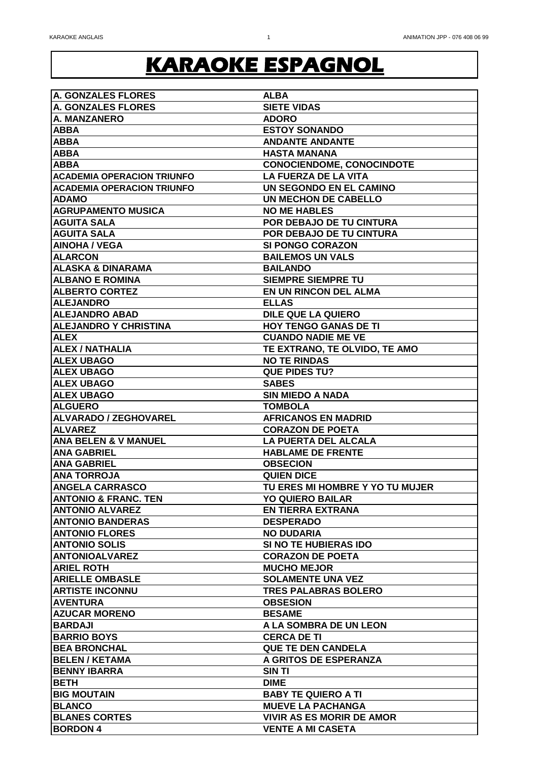| <b>A. GONZALES FLORES</b>         | <b>ALBA</b>                      |
|-----------------------------------|----------------------------------|
| <b>A. GONZALES FLORES</b>         | <b>SIETE VIDAS</b>               |
| A. MANZANERO                      | <b>ADORO</b>                     |
| <b>ABBA</b>                       | <b>ESTOY SONANDO</b>             |
| <b>ABBA</b>                       | <b>ANDANTE ANDANTE</b>           |
| <b>ABBA</b>                       | <b>HASTA MANANA</b>              |
| <b>ABBA</b>                       | <b>CONOCIENDOME, CONOCINDOTE</b> |
| <b>ACADEMIA OPERACION TRIUNFO</b> | <b>LA FUERZA DE LA VITA</b>      |
| <b>ACADEMIA OPERACION TRIUNFO</b> | UN SEGONDO EN EL CAMINO          |
| <b>ADAMO</b>                      | UN MECHON DE CABELLO             |
| <b>AGRUPAMENTO MUSICA</b>         | <b>NO ME HABLES</b>              |
| <b>AGUITA SALA</b>                | POR DEBAJO DE TU CINTURA         |
| <b>AGUITA SALA</b>                | POR DEBAJO DE TU CINTURA         |
| <b>AINOHA / VEGA</b>              | <b>SI PONGO CORAZON</b>          |
| <b>ALARCON</b>                    | <b>BAILEMOS UN VALS</b>          |
| <b>ALASKA &amp; DINARAMA</b>      | <b>BAILANDO</b>                  |
| <b>ALBANO E ROMINA</b>            | <b>SIEMPRE SIEMPRE TU</b>        |
| <b>ALBERTO CORTEZ</b>             | <b>EN UN RINCON DEL ALMA</b>     |
|                                   |                                  |
| <b>ALEJANDRO</b>                  | <b>ELLAS</b>                     |
| <b>ALEJANDRO ABAD</b>             | <b>DILE QUE LA QUIERO</b>        |
| <b>ALEJANDRO Y CHRISTINA</b>      | <b>HOY TENGO GANAS DE TI</b>     |
| <b>ALEX</b>                       | <b>CUANDO NADIE ME VE</b>        |
| <b>ALEX / NATHALIA</b>            | TE EXTRANO, TE OLVIDO, TE AMO    |
| <b>ALEX UBAGO</b>                 | <b>NO TE RINDAS</b>              |
| <b>ALEX UBAGO</b>                 | <b>QUE PIDES TU?</b>             |
| <b>ALEX UBAGO</b>                 | <b>SABES</b>                     |
| <b>ALEX UBAGO</b>                 | <b>SIN MIEDO A NADA</b>          |
| <b>ALGUERO</b>                    | <b>TOMBOLA</b>                   |
| <b>ALVARADO / ZEGHOVAREL</b>      | <b>AFRICANOS EN MADRID</b>       |
| <b>ALVAREZ</b>                    | <b>CORAZON DE POETA</b>          |
| <b>ANA BELEN &amp; V MANUEL</b>   | <b>LA PUERTA DEL ALCALA</b>      |
| <b>ANA GABRIEL</b>                | <b>HABLAME DE FRENTE</b>         |
| <b>ANA GABRIEL</b>                | <b>OBSECION</b>                  |
| <b>ANA TORROJA</b>                | <b>QUIEN DICE</b>                |
| <b>ANGELA CARRASCO</b>            | TU ERES MI HOMBRE Y YO TU MUJER  |
| <b>ANTONIO &amp; FRANC. TEN</b>   | <b>YO QUIERO BAILAR</b>          |
| <b>ANTONIO ALVAREZ</b>            | <b>EN TIERRA EXTRANA</b>         |
| <b>ANTONIO BANDERAS</b>           | <b>DESPERADO</b>                 |
| <b>ANTONIO FLORES</b>             | <b>NO DUDARIA</b>                |
| <b>ANTONIO SOLIS</b>              | <b>SI NO TE HUBIERAS IDO</b>     |
| <b>ANTONIOALVAREZ</b>             | <b>CORAZON DE POETA</b>          |
| <b>ARIEL ROTH</b>                 | <b>MUCHO MEJOR</b>               |
| <b>ARIELLE OMBASLE</b>            | <b>SOLAMENTE UNA VEZ</b>         |
| <b>ARTISTE INCONNU</b>            | <b>TRES PALABRAS BOLERO</b>      |
| <b>AVENTURA</b>                   | <b>OBSESION</b>                  |
| <b>AZUCAR MORENO</b>              | <b>BESAME</b>                    |
| <b>BARDAJI</b>                    | A LA SOMBRA DE UN LEON           |
| <b>BARRIO BOYS</b>                | <b>CERCA DE TI</b>               |
| <b>BEA BRONCHAL</b>               | <b>QUE TE DEN CANDELA</b>        |
| <b>BELEN / KETAMA</b>             | A GRITOS DE ESPERANZA            |
| <b>BENNY IBARRA</b>               | <b>SIN TI</b>                    |
| <b>BETH</b>                       | <b>DIME</b>                      |
| <b>BIG MOUTAIN</b>                | <b>BABY TE QUIERO A TI</b>       |
| <b>BLANCO</b>                     | <b>MUEVE LA PACHANGA</b>         |
| <b>BLANES CORTES</b>              | <b>VIVIR AS ES MORIR DE AMOR</b> |
|                                   |                                  |
| <b>BORDON 4</b>                   | <b>VENTE A MI CASETA</b>         |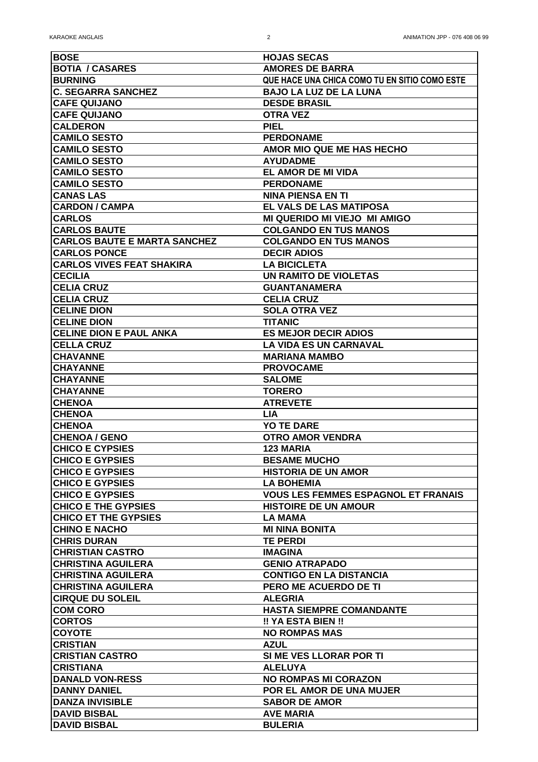| <b>BOSE</b>                         | <b>HOJAS SECAS</b>                            |
|-------------------------------------|-----------------------------------------------|
| <b>BOTIA / CASARES</b>              | <b>AMORES DE BARRA</b>                        |
| <b>BURNING</b>                      | QUE HACE UNA CHICA COMO TU EN SITIO COMO ESTE |
| <b>C. SEGARRA SANCHEZ</b>           | <b>BAJO LA LUZ DE LA LUNA</b>                 |
| <b>CAFE QUIJANO</b>                 | <b>DESDE BRASIL</b>                           |
| <b>CAFE QUIJANO</b>                 | <b>OTRA VEZ</b>                               |
| <b>CALDERON</b>                     | <b>PIEL</b>                                   |
| <b>CAMILO SESTO</b>                 | <b>PERDONAME</b>                              |
| <b>CAMILO SESTO</b>                 | AMOR MIO QUE ME HAS HECHO                     |
| <b>CAMILO SESTO</b>                 | <b>AYUDADME</b>                               |
| <b>CAMILO SESTO</b>                 | <b>EL AMOR DE MI VIDA</b>                     |
| <b>CAMILO SESTO</b>                 | <b>PERDONAME</b>                              |
| <b>CANAS LAS</b>                    | <b>NINA PIENSA EN TI</b>                      |
| <b>CARDON / CAMPA</b>               | EL VALS DE LAS MATIPOSA                       |
| <b>CARLOS</b>                       | <b>MI QUERIDO MI VIEJO MI AMIGO</b>           |
| <b>CARLOS BAUTE</b>                 | <b>COLGANDO EN TUS MANOS</b>                  |
| <b>CARLOS BAUTE E MARTA SANCHEZ</b> | <b>COLGANDO EN TUS MANOS</b>                  |
| <b>CARLOS PONCE</b>                 | <b>DECIR ADIOS</b>                            |
| <b>CARLOS VIVES FEAT SHAKIRA</b>    | <b>LA BICICLETA</b>                           |
| <b>CECILIA</b>                      | <b>UN RAMITO DE VIOLETAS</b>                  |
| <b>CELIA CRUZ</b>                   | <b>GUANTANAMERA</b>                           |
| <b>CELIA CRUZ</b>                   | <b>CELIA CRUZ</b>                             |
| <b>CELINE DION</b>                  | <b>SOLA OTRA VEZ</b>                          |
| <b>CELINE DION</b>                  | <b>TITANIC</b>                                |
| <b>CELINE DION E PAUL ANKA</b>      | <b>ES MEJOR DECIR ADIOS</b>                   |
| <b>CELLA CRUZ</b>                   | <b>LA VIDA ES UN CARNAVAL</b>                 |
| <b>CHAVANNE</b>                     | <b>MARIANA MAMBO</b>                          |
| <b>CHAYANNE</b>                     | <b>PROVOCAME</b>                              |
| <b>CHAYANNE</b>                     | <b>SALOME</b>                                 |
| <b>CHAYANNE</b>                     | <b>TORERO</b>                                 |
| <b>CHENOA</b>                       | <b>ATREVETE</b>                               |
| <b>CHENOA</b>                       | <b>LIA</b>                                    |
| <b>CHENOA</b>                       | <b>YO TE DARE</b>                             |
| <b>CHENOA / GENO</b>                | <b>OTRO AMOR VENDRA</b>                       |
| <b>CHICO E CYPSIES</b>              | <b>123 MARIA</b>                              |
| <b>CHICO E GYPSIES</b>              | <b>BESAME MUCHO</b>                           |
| <b>CHICO E GYPSIES</b>              | <b>HISTORIA DE UN AMOR</b>                    |
| <b>CHICO E GYPSIES</b>              | <b>LA BOHEMIA</b>                             |
| <b>CHICO E GYPSIES</b>              | <b>VOUS LES FEMMES ESPAGNOL ET FRANAIS</b>    |
| <b>CHICO E THE GYPSIES</b>          | <b>HISTOIRE DE UN AMOUR</b>                   |
| <b>CHICO ET THE GYPSIES</b>         | <b>LA MAMA</b>                                |
| <b>CHINO E NACHO</b>                | <b>MI NINA BONITA</b>                         |
| <b>CHRIS DURAN</b>                  | <b>TE PERDI</b>                               |
| <b>CHRISTIAN CASTRO</b>             | <b>IMAGINA</b>                                |
| <b>CHRISTINA AGUILERA</b>           | <b>GENIO ATRAPADO</b>                         |
| <b> CHRISTINA AGUILERA</b>          | <b>CONTIGO EN LA DISTANCIA</b>                |
| <b>CHRISTINA AGUILERA</b>           | PERO ME ACUERDO DE TI                         |
| <b>CIRQUE DU SOLEIL</b>             | <b>ALEGRIA</b>                                |
| <b>COM CORO</b>                     | <b>HASTA SIEMPRE COMANDANTE</b>               |
| <b>CORTOS</b>                       | !! YA ESTA BIEN !!                            |
| <b>COYOTE</b>                       | <b>NO ROMPAS MAS</b>                          |
| <b>CRISTIAN</b>                     | <b>AZUL</b>                                   |
| <b>CRISTIAN CASTRO</b>              | SI ME VES LLORAR POR TI                       |
| <b>CRISTIANA</b>                    | <b>ALELUYA</b>                                |
| <b>DANALD VON-RESS</b>              | <b>NO ROMPAS MI CORAZON</b>                   |
| <b>IDANNY DANIEL</b>                | <b>POR EL AMOR DE UNA MUJER</b>               |
| <b>DANZA INVISIBLE</b>              | <b>SABOR DE AMOR</b>                          |
| <b>DAVID BISBAL</b>                 | <b>AVE MARIA</b>                              |
| <b>DAVID BISBAL</b>                 | <b>BULERIA</b>                                |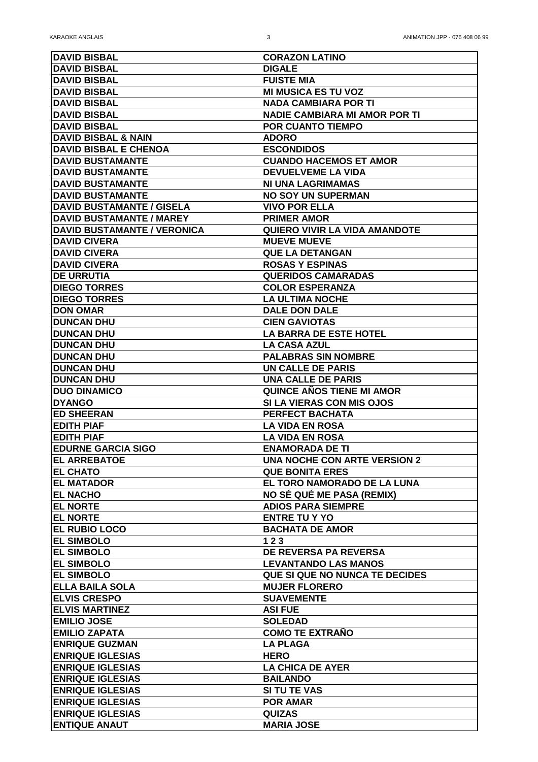| <b>DAVID BISBAL</b>              | <b>CORAZON LATINO</b>                 |
|----------------------------------|---------------------------------------|
| <b>DAVID BISBAL</b>              | <b>DIGALE</b>                         |
| <b>DAVID BISBAL</b>              | <b>FUISTE MIA</b>                     |
| <b>DAVID BISBAL</b>              | <b>MI MUSICA ES TU VOZ</b>            |
| <b>DAVID BISBAL</b>              | <b>NADA CAMBIARA POR TI</b>           |
| <b>DAVID BISBAL</b>              | <b>NADIE CAMBIARA MI AMOR POR TI</b>  |
| <b>DAVID BISBAL</b>              | <b>POR CUANTO TIEMPO</b>              |
| <b>DAVID BISBAL &amp; NAIN</b>   | <b>ADORO</b>                          |
| <b>DAVID BISBAL E CHENOA</b>     | <b>ESCONDIDOS</b>                     |
| <b>DAVID BUSTAMANTE</b>          | <b>CUANDO HACEMOS ET AMOR</b>         |
| <b>DAVID BUSTAMANTE</b>          | <b>DEVUELVEME LA VIDA</b>             |
| <b>DAVID BUSTAMANTE</b>          | <b>NI UNA LAGRIMAMAS</b>              |
| <b>DAVID BUSTAMANTE</b>          | <b>NO SOY UN SUPERMAN</b>             |
| <b>DAVID BUSTAMANTE / GISELA</b> | <b>VIVO POR ELLA</b>                  |
| <b>DAVID BUSTAMANTE / MAREY</b>  | <b>PRIMER AMOR</b>                    |
| DAVID BUSTAMANTE / VERONICA      | <b>QUIERO VIVIR LA VIDA AMANDOTE</b>  |
| <b>DAVID CIVERA</b>              | <b>MUEVE MUEVE</b>                    |
| <b>DAVID CIVERA</b>              | <b>QUE LA DETANGAN</b>                |
| <b>DAVID CIVERA</b>              | <b>ROSAS Y ESPINAS</b>                |
| <b>DE URRUTIA</b>                | <b>QUERIDOS CAMARADAS</b>             |
| <b>DIEGO TORRES</b>              | <b>COLOR ESPERANZA</b>                |
| <b>DIEGO TORRES</b>              | <b>LA ULTIMA NOCHE</b>                |
| <b>DON OMAR</b>                  | <b>DALE DON DALE</b>                  |
| <b>DUNCAN DHU</b>                | <b>CIEN GAVIOTAS</b>                  |
| <b>DUNCAN DHU</b>                | <b>LA BARRA DE ESTE HOTEL</b>         |
| <b>DUNCAN DHU</b>                | <b>LA CASA AZUL</b>                   |
| <b>DUNCAN DHU</b>                | <b>PALABRAS SIN NOMBRE</b>            |
|                                  |                                       |
| <b>DUNCAN DHU</b>                | <b>UN CALLE DE PARIS</b>              |
| <b>DUNCAN DHU</b>                | <b>UNA CALLE DE PARIS</b>             |
| <b>DUO DINAMICO</b>              | <b>QUINCE AÑOS TIENE MI AMOR</b>      |
| <b>DYANGO</b>                    | SI LA VIERAS CON MIS OJOS             |
| <b>ED SHEERAN</b>                | <b>PERFECT BACHATA</b>                |
| <b>EDITH PIAF</b>                | <b>LA VIDA EN ROSA</b>                |
| <b>EDITH PIAF</b>                | <b>LA VIDA EN ROSA</b>                |
| <b>EDURNE GARCIA SIGO</b>        | <b>ENAMORADA DE TI</b>                |
| <b>EL ARREBATOE</b>              | <b>UNA NOCHE CON ARTE VERSION 2</b>   |
| <b>EL CHATO</b>                  | <b>QUE BONITA ERES</b>                |
| <b>EL MATADOR</b>                | EL TORO NAMORADO DE LA LUNA           |
| <b>EL NACHO</b>                  | <b>NO SÉ QUÉ ME PASA (REMIX)</b>      |
| <b>EL NORTE</b>                  | <b>ADIOS PARA SIEMPRE</b>             |
| <b>EL NORTE</b>                  | <b>ENTRE TU Y YO</b>                  |
| <b>EL RUBIO LOCO</b>             | <b>BACHATA DE AMOR</b>                |
| <b>EL SIMBOLO</b>                | 123                                   |
| <b>EL SIMBOLO</b>                | <b>DE REVERSA PA REVERSA</b>          |
| <b>EL SIMBOLO</b>                | <b>LEVANTANDO LAS MANOS</b>           |
| <b>EL SIMBOLO</b>                | <b>QUE SI QUE NO NUNCA TE DECIDES</b> |
| <b>ELLA BAILA SOLA</b>           | <b>MUJER FLORERO</b>                  |
| <b>IELVIS CRESPO</b>             | <b>SUAVEMENTE</b>                     |
| <b>ELVIS MARTINEZ</b>            | <b>ASI FUE</b>                        |
| <b>EMILIO JOSE</b>               | <b>SOLEDAD</b>                        |
| <b>EMILIO ZAPATA</b>             | <b>COMO TE EXTRAÑO</b>                |
| <b>ENRIQUE GUZMAN</b>            | <b>LA PLAGA</b>                       |
| <b>ENRIQUE IGLESIAS</b>          | <b>HERO</b>                           |
| <b>ENRIQUE IGLESIAS</b>          | <b>LA CHICA DE AYER</b>               |
| <b>ENRIQUE IGLESIAS</b>          | <b>BAILANDO</b>                       |
| <b>ENRIQUE IGLESIAS</b>          | <b>SI TU TE VAS</b>                   |
| <b>ENRIQUE IGLESIAS</b>          | <b>POR AMAR</b>                       |
| <b>ENRIQUE IGLESIAS</b>          | <b>QUIZAS</b>                         |
| <b>ENTIQUE ANAUT</b>             | <b>MARIA JOSE</b>                     |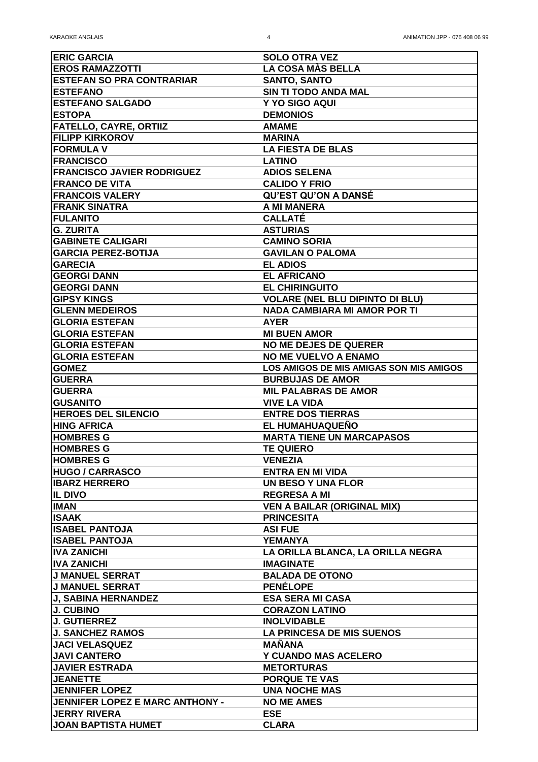| <b>ERIC GARCIA</b>                     | <b>SOLO OTRA VEZ</b>                           |
|----------------------------------------|------------------------------------------------|
| <b>EROS RAMAZZOTTI</b>                 | LA COSA MÀS BELLA                              |
| <b>ESTEFAN SO PRA CONTRARIAR</b>       | <b>SANTO, SANTO</b>                            |
| <b>ESTEFANO</b>                        | <b>SIN TI TODO ANDA MAL</b>                    |
| <b>ESTEFANO SALGADO</b>                | Y YO SIGO AQUI                                 |
| <b>ESTOPA</b>                          | <b>DEMONIOS</b>                                |
| <b>FATELLO, CAYRE, ORTIIZ</b>          | <b>AMAME</b>                                   |
|                                        |                                                |
| <b>FILIPP KIRKOROV</b>                 | <b>MARINA</b>                                  |
| <b>FORMULA V</b>                       | <b>LA FIESTA DE BLAS</b>                       |
| <b>FRANCISCO</b>                       | <b>LATINO</b>                                  |
| <b>FRANCISCO JAVIER RODRIGUEZ</b>      | <b>ADIOS SELENA</b>                            |
| <b>FRANCO DE VITA</b>                  | <b>CALIDO Y FRIO</b>                           |
| <b>FRANCOIS VALERY</b>                 | <b>QU'EST QU'ON A DANSÉ</b>                    |
| <b>FRANK SINATRA</b>                   | A MI MANERA                                    |
| <b>FULANITO</b>                        | <b>CALLATÉ</b>                                 |
| <b>G. ZURITA</b>                       | <b>ASTURIAS</b>                                |
| <b>GABINETE CALIGARI</b>               | <b>CAMINO SORIA</b>                            |
| <b>GARCIA PEREZ-BOTIJA</b>             | <b>GAVILAN O PALOMA</b>                        |
| <b>GARECIA</b>                         | <b>EL ADIOS</b>                                |
| <b>GEORGI DANN</b>                     | <b>EL AFRICANO</b>                             |
| <b>GEORGI DANN</b>                     | <b>EL CHIRINGUITO</b>                          |
| <b>GIPSY KINGS</b>                     | <b>VOLARE (NEL BLU DIPINTO DI BLU)</b>         |
| <b>GLENN MEDEIROS</b>                  | <b>NADA CAMBIARA MI AMOR POR TI</b>            |
|                                        |                                                |
| <b>GLORIA ESTEFAN</b>                  | <b>AYER</b>                                    |
| <b>GLORIA ESTEFAN</b>                  | <b>MI BUEN AMOR</b>                            |
| <b>GLORIA ESTEFAN</b>                  | <b>NO ME DEJES DE QUERER</b>                   |
| <b>GLORIA ESTEFAN</b>                  | <b>NO ME VUELVO A ENAMO</b>                    |
| <b>GOMEZ</b>                           | <b>LOS AMIGOS DE MIS AMIGAS SON MIS AMIGOS</b> |
| <b>GUERRA</b>                          | <b>BURBUJAS DE AMOR</b>                        |
| <b>GUERRA</b>                          | <b>MIL PALABRAS DE AMOR</b>                    |
| <b>GUSANITO</b>                        | <b>VIVE LA VIDA</b>                            |
| <b>HEROES DEL SILENCIO</b>             | <b>ENTRE DOS TIERRAS</b>                       |
| <b>HING AFRICA</b>                     | <b>EL HUMAHUAQUENO</b>                         |
| <b>HOMBRES G</b>                       | <b>MARTA TIENE UN MARCAPASOS</b>               |
| <b>HOMBRES G</b>                       | <b>TE QUIERO</b>                               |
| <b>HOMBRES G</b>                       | <b>VENEZIA</b>                                 |
| <b>HUGO / CARRASCO</b>                 | <b>ENTRA EN MI VIDA</b>                        |
| <b>IBARZ HERRERO</b>                   | <b>UN BESO Y UNA FLOR</b>                      |
| <b>IL DIVO</b>                         | <b>REGRESA A MI</b>                            |
| <b>IIMAN</b>                           |                                                |
|                                        | <b>VEN A BAILAR (ORIGINAL MIX)</b>             |
| <b>ISAAK</b>                           | <b>PRINCESITA</b>                              |
| <b>ISABEL PANTOJA</b>                  | <b>ASI FUE</b>                                 |
| <b>ISABEL PANTOJA</b>                  | YEMANYA                                        |
| <b>IVA ZANICHI</b>                     | LA ORILLA BLANCA, LA ORILLA NEGRA              |
| <b>IIVA ZANICHI</b>                    | <b>IMAGINATE</b>                               |
| <b>J MANUEL SERRAT</b>                 | <b>BALADA DE OTONO</b>                         |
| <b>J MANUEL SERRAT</b>                 | <b>PENÉLOPE</b>                                |
| <b>J. SABINA HERNANDEZ</b>             | <b>ESA SERA MI CASA</b>                        |
| <b>J. CUBINO</b>                       | <b>CORAZON LATINO</b>                          |
| <b>J. GUTIERREZ</b>                    | <b>INOLVIDABLE</b>                             |
| <b>J. SANCHEZ RAMOS</b>                | <b>LA PRINCESA DE MIS SUENOS</b>               |
| <b>JACI VELASQUEZ</b>                  | <b>MANANA</b>                                  |
| <b>JAVI CANTERO</b>                    | <b>Y CUANDO MAS ACELERO</b>                    |
| <b>JAVIER ESTRADA</b>                  | <b>METORTURAS</b>                              |
| <b>JEANETTE</b>                        | <b>PORQUE TE VAS</b>                           |
| <b>JENNIFER LOPEZ</b>                  | <b>UNA NOCHE MAS</b>                           |
| <b>JENNIFER LOPEZ E MARC ANTHONY -</b> | <b>NO ME AMES</b>                              |
|                                        |                                                |
| <b>JERRY RIVERA</b>                    | <b>ESE</b>                                     |
| <b>JOAN BAPTISTA HUMET</b>             | <b>CLARA</b>                                   |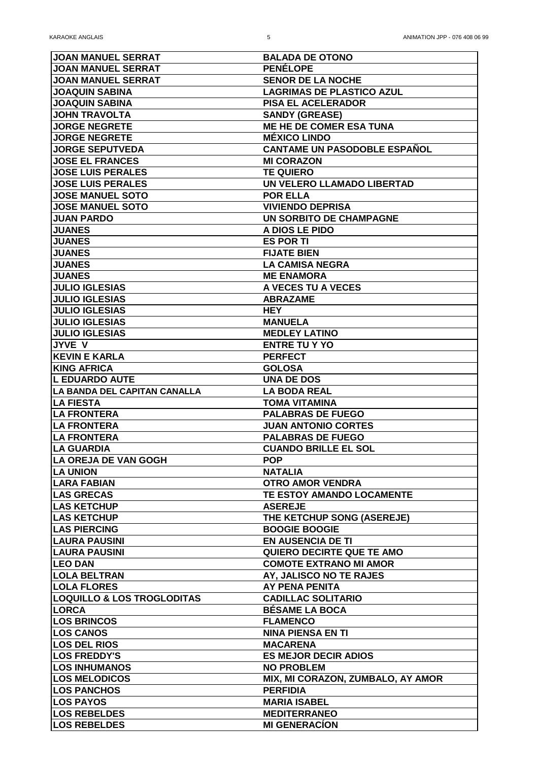| <b>JOAN MANUEL SERRAT</b>             | <b>BALADA DE OTONO</b>              |
|---------------------------------------|-------------------------------------|
| <b>JOAN MANUEL SERRAT</b>             | <b>PENÉLOPE</b>                     |
| <b>JOAN MANUEL SERRAT</b>             | <b>SENOR DE LA NOCHE</b>            |
| <b>JOAQUIN SABINA</b>                 | <b>LAGRIMAS DE PLASTICO AZUL</b>    |
| <b>JOAQUIN SABINA</b>                 | <b>PISA EL ACELERADOR</b>           |
| <b>JOHN TRAVOLTA</b>                  | <b>SANDY (GREASE)</b>               |
| <b>JORGE NEGRETE</b>                  | <b>ME HE DE COMER ESA TUNA</b>      |
| <b>JORGE NEGRETE</b>                  | <b>MÉXICO LINDO</b>                 |
| <b>JORGE SEPUTVEDA</b>                | <b>CANTAME UN PASODOBLE ESPANOL</b> |
| <b>JOSE EL FRANCES</b>                | <b>MI CORAZON</b>                   |
| <b>JOSE LUIS PERALES</b>              | <b>TE QUIERO</b>                    |
| <b>JOSE LUIS PERALES</b>              | UN VELERO LLAMADO LIBERTAD          |
| <b>JOSE MANUEL SOTO</b>               | <b>POR ELLA</b>                     |
| <b>JOSE MANUEL SOTO</b>               | <b>VIVIENDO DEPRISA</b>             |
| <b>JUAN PARDO</b>                     | <b>UN SORBITO DE CHAMPAGNE</b>      |
| <b>JUANES</b>                         | A DIOS LE PIDO                      |
| <b>JUANES</b>                         | <b>ES POR TI</b>                    |
| <b>JUANES</b>                         | <b>FIJATE BIEN</b>                  |
| <b>JUANES</b>                         | <b>LA CAMISA NEGRA</b>              |
| <b>JUANES</b>                         | <b>ME ENAMORA</b>                   |
| <b>JULIO IGLESIAS</b>                 | A VECES TU A VECES                  |
| <b>JULIO IGLESIAS</b>                 | <b>ABRAZAME</b>                     |
| <b>JULIO IGLESIAS</b>                 | <b>HEY</b>                          |
| <b>JULIO IGLESIAS</b>                 | <b>MANUELA</b>                      |
| <b>JULIO IGLESIAS</b>                 | <b>MEDLEY LATINO</b>                |
| <b>JYVE V</b>                         | <b>ENTRE TU Y YO</b>                |
| <b>KEVIN E KARLA</b>                  | <b>PERFECT</b>                      |
| <b>KING AFRICA</b>                    | <b>GOLOSA</b>                       |
| <b>L EDUARDO AUTE</b>                 | <b>UNA DE DOS</b>                   |
| LA BANDA DEL CAPITAN CANALLA          | <b>LA BODA REAL</b>                 |
| <b>LA FIESTA</b>                      | <b>TOMA VITAMINA</b>                |
| <b>LA FRONTERA</b>                    | <b>PALABRAS DE FUEGO</b>            |
| <b>LA FRONTERA</b>                    | <b>JUAN ANTONIO CORTES</b>          |
| <b>LA FRONTERA</b>                    | <b>PALABRAS DE FUEGO</b>            |
| <b>LA GUARDIA</b>                     | <b>CUANDO BRILLE EL SOL</b>         |
| LA OREJA DE VAN GOGH                  | <b>POP</b>                          |
| <b>LA UNION</b>                       | <b>NATALIA</b>                      |
| <b>LARA FABIAN</b>                    | <b>OTRO AMOR VENDRA</b>             |
| <b>LAS GRECAS</b>                     | <b>TE ESTOY AMANDO LOCAMENTE</b>    |
| <b>LAS KETCHUP</b>                    | <b>ASEREJE</b>                      |
| <b>LAS KETCHUP</b>                    | THE KETCHUP SONG (ASEREJE)          |
| <b>LAS PIERCING</b>                   | <b>BOOGIE BOOGIE</b>                |
| <b>LAURA PAUSINI</b>                  | <b>EN AUSENCIA DE TI</b>            |
| <b>LAURA PAUSINI</b>                  | <b>QUIERO DECIRTE QUE TE AMO</b>    |
| <b>LEO DAN</b>                        | <b>COMOTE EXTRANO MI AMOR</b>       |
| <b>LOLA BELTRAN</b>                   | AY, JALISCO NO TE RAJES             |
| <b>LOLA FLORES</b>                    | <b>AY PENA PENITA</b>               |
| <b>LOQUILLO &amp; LOS TROGLODITAS</b> | <b>CADILLAC SOLITARIO</b>           |
| <b>LORCA</b>                          | <b>BÉSAME LA BOCA</b>               |
| <b>LOS BRINCOS</b>                    | <b>FLAMENCO</b>                     |
| <b>LOS CANOS</b>                      | <b>NINA PIENSA EN TI</b>            |
| <b>LOS DEL RIOS</b>                   | <b>MACARENA</b>                     |
| <b>LOS FREDDY'S</b>                   | <b>ES MEJOR DECIR ADIOS</b>         |
| <b>LOS INHUMANOS</b>                  | <b>NO PROBLEM</b>                   |
| <b>LOS MELODICOS</b>                  | MIX, MI CORAZON, ZUMBALO, AY AMOR   |
| <b>LOS PANCHOS</b>                    | <b>PERFIDIA</b>                     |
| <b>LOS PAYOS</b>                      | <b>MARIA ISABEL</b>                 |
| <b>LOS REBELDES</b>                   | <b>MEDITERRANEO</b>                 |
| <b>LOS REBELDES</b>                   | <b>MI GENERACION</b>                |
|                                       |                                     |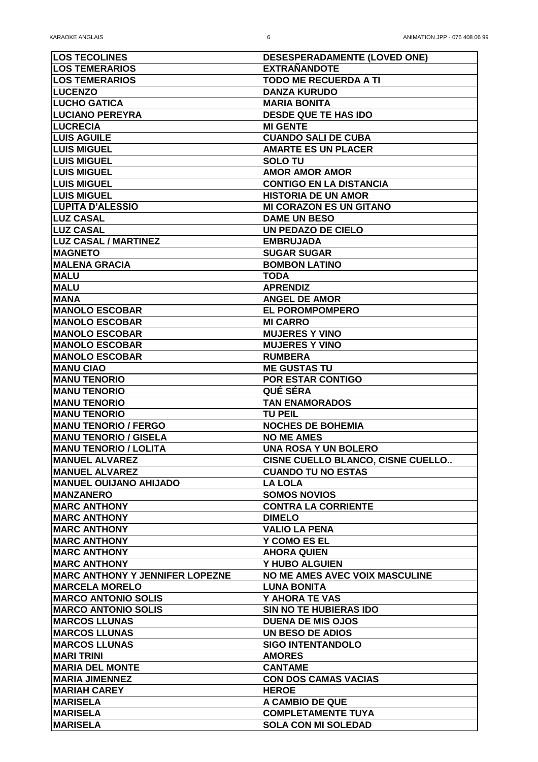| <b>LOS TECOLINES</b>                    | <b>DESESPERADAMENTE (LOVED ONE)</b>      |
|-----------------------------------------|------------------------------------------|
| <b>LOS TEMERARIOS</b>                   | <b>EXTRAÑANDOTE</b>                      |
| <b>LOS TEMERARIOS</b>                   | <b>TODO ME RECUERDA A TI</b>             |
| <b>LUCENZO</b>                          | <b>DANZA KURUDO</b>                      |
| <b>LUCHO GATICA</b>                     | <b>MARIA BONITA</b>                      |
| <b>LUCIANO PEREYRA</b>                  | <b>DESDE QUE TE HAS IDO</b>              |
| <b>LUCRECIA</b>                         | <b>MI GENTE</b>                          |
| <b>LUIS AGUILE</b>                      | <b>CUANDO SALI DE CUBA</b>               |
| <b>LUIS MIGUEL</b>                      | <b>AMARTE ES UN PLACER</b>               |
| <b>LUIS MIGUEL</b>                      | <b>SOLOTU</b>                            |
| <b>LUIS MIGUEL</b>                      | <b>AMOR AMOR AMOR</b>                    |
| <b>LUIS MIGUEL</b>                      | <b>CONTIGO EN LA DISTANCIA</b>           |
|                                         |                                          |
| <b>LUIS MIGUEL</b>                      | <b>HISTORIA DE UN AMOR</b>               |
| LUPITA D'ALESSIO                        | <b>MI CORAZON ES UN GITANO</b>           |
| <b>LUZ CASAL</b>                        | <b>DAME UN BESO</b>                      |
| <b>LUZ CASAL</b>                        | <b>UN PEDAZO DE CIELO</b>                |
| <b>LUZ CASAL / MARTINEZ</b>             | <b>EMBRUJADA</b>                         |
| <b>IMAGNETO</b>                         | <b>SUGAR SUGAR</b>                       |
| <b>MALENA GRACIA</b>                    | <b>BOMBON LATINO</b>                     |
| <b>MALU</b>                             | <b>TODA</b>                              |
| <b>MALU</b>                             | <b>APRENDIZ</b>                          |
| <b>MANA</b>                             | <b>ANGEL DE AMOR</b>                     |
| <b>IMANOLO ESCOBAR</b>                  | <b>EL POROMPOMPERO</b>                   |
| <b> MANOLO ESCOBAR</b>                  | <b>MI CARRO</b>                          |
| <b>MANOLO ESCOBAR</b>                   | <b>MUJERES Y VINO</b>                    |
| <b>MANOLO ESCOBAR</b>                   | <b>MUJERES Y VINO</b>                    |
| <b>MANOLO ESCOBAR</b>                   | <b>RUMBERA</b>                           |
| <b>MANU CIAO</b>                        | <b>ME GUSTAS TU</b>                      |
| <b>MANU TENORIO</b>                     | <b>POR ESTAR CONTIGO</b>                 |
| <b>IMANU TENORIO</b>                    | <b>QUÉ SÉRA</b>                          |
| <b>MANU TENORIO</b>                     | <b>TAN ENAMORADOS</b>                    |
| <b>MANU TENORIO</b>                     | <b>TU PEIL</b>                           |
| <b>MANU TENORIO / FERGO</b>             | <b>NOCHES DE BOHEMIA</b>                 |
| <b>MANU TENORIO / GISELA</b>            | <b>NO ME AMES</b>                        |
| <b>MANU TENORIO / LOLITA</b>            | <b>UNA ROSA Y UN BOLERO</b>              |
| <b>MANUEL ALVAREZ</b>                   | <b>CISNE CUELLO BLANCO, CISNE CUELLO</b> |
| <b>MANUEL ALVAREZ</b>                   | <b>CUANDO TU NO ESTAS</b>                |
| <b>MANUEL OUIJANO AHIJADO</b>           | <b>LA LOLA</b>                           |
| <b>MANZANERO</b>                        | <b>SOMOS NOVIOS</b>                      |
| <b>IMARC ANTHONY</b>                    | <b>CONTRA LA CORRIENTE</b>               |
| <b>MARC ANTHONY</b>                     | <b>DIMELO</b>                            |
| <b>IMARC ANTHONY</b>                    | <b>VALIO LA PENA</b>                     |
| <b>IMARC ANTHONY</b>                    | <b>Y COMO ES EL</b>                      |
| <b>IMARC ANTHONY</b>                    | <b>AHORA QUIEN</b>                       |
| <b>IMARC ANTHONY</b>                    | Y HUBO ALGUIEN                           |
| <b>IMARC ANTHONY Y JENNIFER LOPEZNE</b> | <b>NO ME AMES AVEC VOIX MASCULINE</b>    |
| <b>IMARCELA MORELO</b>                  | <b>LUNA BONITA</b>                       |
| <b>IMARCO ANTONIO SOLIS</b>             | Y AHORA TE VAS                           |
| <b>IMARCO ANTONIO SOLIS</b>             | <b>SIN NO TE HUBIERAS IDO</b>            |
| <b>MARCOS LLUNAS</b>                    | <b>DUENA DE MIS OJOS</b>                 |
| <b>MARCOS LLUNAS</b>                    | <b>UN BESO DE ADIOS</b>                  |
| <b>IMARCOS LLUNAS</b>                   | <b>SIGO INTENTANDOLO</b>                 |
| <b>IMARI TRINI</b>                      | <b>AMORES</b>                            |
| <b>IMARIA DEL MONTE</b>                 |                                          |
|                                         | <b>CANTAME</b>                           |
| <b>IMARIA JIMENNEZ</b>                  | <b>CON DOS CAMAS VACIAS</b>              |
| <b>IMARIAH CAREY</b>                    | <b>HEROE</b>                             |
| <b>MARISELA</b>                         | A CAMBIO DE QUE                          |
| <b>MARISELA</b>                         | <b>COMPLETAMENTE TUYA</b>                |
| <b>MARISELA</b>                         | <b>SOLA CON MI SOLEDAD</b>               |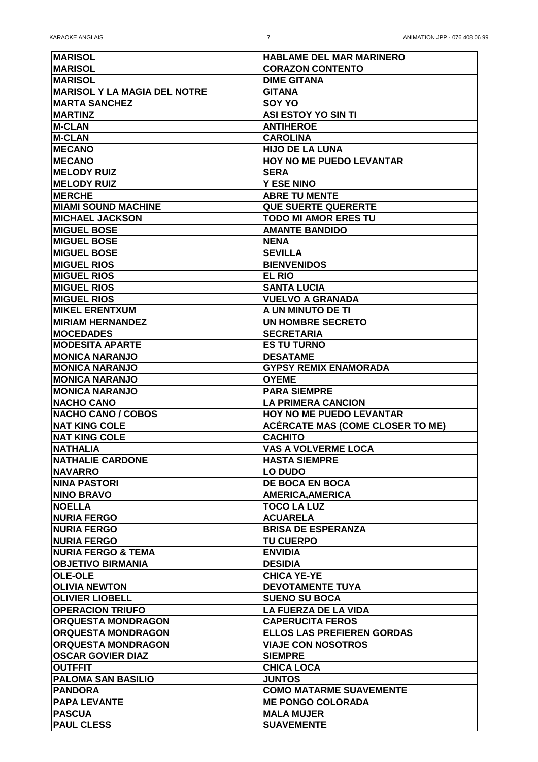| <b>IMARISOL</b>                      | <b>HABLAME DEL MAR MARINERO</b>         |
|--------------------------------------|-----------------------------------------|
| <b>IMARISOL</b>                      | <b>CORAZON CONTENTO</b>                 |
| <b>IMARISOL</b>                      | <b>DIME GITANA</b>                      |
| <b>IMARISOL Y LA MAGIA DEL NOTRE</b> | <b>GITANA</b>                           |
| <b>IMARTA SANCHEZ</b>                | <b>SOY YO</b>                           |
| <b>IMARTINZ</b>                      | <b>ASI ESTOY YO SIN TI</b>              |
| <b>M-CLAN</b>                        | <b>ANTIHEROE</b>                        |
| <b>IM-CLAN</b>                       | <b>CAROLINA</b>                         |
| <b>IMECANO</b>                       | <b>HIJO DE LA LUNA</b>                  |
| <b>IMECANO</b>                       | <b>HOY NO ME PUEDO LEVANTAR</b>         |
| <b>IMELODY RUIZ</b>                  | <b>SERA</b>                             |
| <b>IMELODY RUIZ</b>                  | <b>Y ESE NINO</b>                       |
| <b>IMERCHE</b>                       | <b>ABRE TU MENTE</b>                    |
| <b>IMIAMI SOUND MACHINE</b>          | <b>QUE SUERTE QUERERTE</b>              |
| <b>IMICHAEL JACKSON</b>              | <b>TODO MI AMOR ERES TU</b>             |
|                                      |                                         |
| <b>IMIGUEL BOSE</b>                  | <b>AMANTE BANDIDO</b>                   |
| <b>IMIGUEL BOSE</b>                  | <b>NENA</b>                             |
| <b>MIGUEL BOSE</b>                   | <b>SEVILLA</b>                          |
| <b>IMIGUEL RIOS</b>                  | <b>BIENVENIDOS</b>                      |
| <b>MIGUEL RIOS</b>                   | <b>EL RIO</b>                           |
| <b>IMIGUEL RIOS</b>                  | <b>SANTA LUCIA</b>                      |
| <b>IMIGUEL RIOS</b>                  | <b>VUELVO A GRANADA</b>                 |
| <b>IMIKEL ERENTXUM</b>               | A UN MINUTO DE TI                       |
| <b>IMIRIAM HERNANDEZ</b>             | <b>UN HOMBRE SECRETO</b>                |
| <b>IMOCEDADES</b>                    | <b>SECRETARIA</b>                       |
| <b>MODESITA APARTE</b>               | <b>ES TU TURNO</b>                      |
| <b>IMONICA NARANJO</b>               | <b>DESATAME</b>                         |
| <b>MONICA NARANJO</b>                | <b>GYPSY REMIX ENAMORADA</b>            |
| <b>IMONICA NARANJO</b>               | <b>OYEME</b>                            |
| <b>MONICA NARANJO</b>                | <b>PARA SIEMPRE</b>                     |
| <b>NACHO CANO</b>                    | <b>LA PRIMERA CANCION</b>               |
| <b>INACHO CANO / COBOS</b>           | <b>HOY NO ME PUEDO LEVANTAR</b>         |
| <b>NAT KING COLE</b>                 | <b>ACÉRCATE MAS (COME CLOSER TO ME)</b> |
| <b>INAT KING COLE</b>                | <b>CACHITO</b>                          |
| <b>INATHALIA</b>                     | <b>VAS A VOLVERME LOCA</b>              |
| <b>INATHALIE CARDONE</b>             | <b>HASTA SIEMPRE</b>                    |
| <b>INAVARRO</b>                      | <b>LO DUDO</b>                          |
| <b>ININA PASTORI</b>                 | <b>DE BOCA EN BOCA</b>                  |
| <b>NINO BRAVO</b>                    | <b>AMERICA, AMERICA</b>                 |
| <b>INOELLA</b>                       | <b>TOCO LA LUZ</b>                      |
| <b>NURIA FERGO</b>                   | <b>ACUARELA</b>                         |
| <b>NURIA FERGO</b>                   | <b>BRISA DE ESPERANZA</b>               |
| <b>INURIA FERGO</b>                  | <b>TU CUERPO</b>                        |
| <b>INURIA FERGO &amp; TEMA</b>       | <b>ENVIDIA</b>                          |
| <b>OBJETIVO BIRMANIA</b>             | <b>DESIDIA</b>                          |
| <b>OLE-OLE</b>                       | <b>CHICA YE-YE</b>                      |
| <b>OLIVIA NEWTON</b>                 | <b>DEVOTAMENTE TUYA</b>                 |
| <b>OLIVIER LIOBELL</b>               | <b>SUENO SU BOCA</b>                    |
| <b>OPERACION TRIUFO</b>              | <b>LA FUERZA DE LA VIDA</b>             |
|                                      |                                         |
| <b>ORQUESTA MONDRAGON</b>            | <b>CAPERUCITA FEROS</b>                 |
| <b>ORQUESTA MONDRAGON</b>            | <b>ELLOS LAS PREFIEREN GORDAS</b>       |
| <b>ORQUESTA MONDRAGON</b>            | <b>VIAJE CON NOSOTROS</b>               |
| <b>OSCAR GOVIER DIAZ</b>             | <b>SIEMPRE</b>                          |
| <b>OUTFFIT</b>                       | <b>CHICA LOCA</b>                       |
| <b>PALOMA SAN BASILIO</b>            | <b>JUNTOS</b>                           |
| <b>IPANDORA</b>                      |                                         |
|                                      | <b>COMO MATARME SUAVEMENTE</b>          |
| <b>IPAPA LEVANTE</b>                 | <b>ME PONGO COLORADA</b>                |
| <b>PASCUA</b>                        | <b>MALA MUJER</b>                       |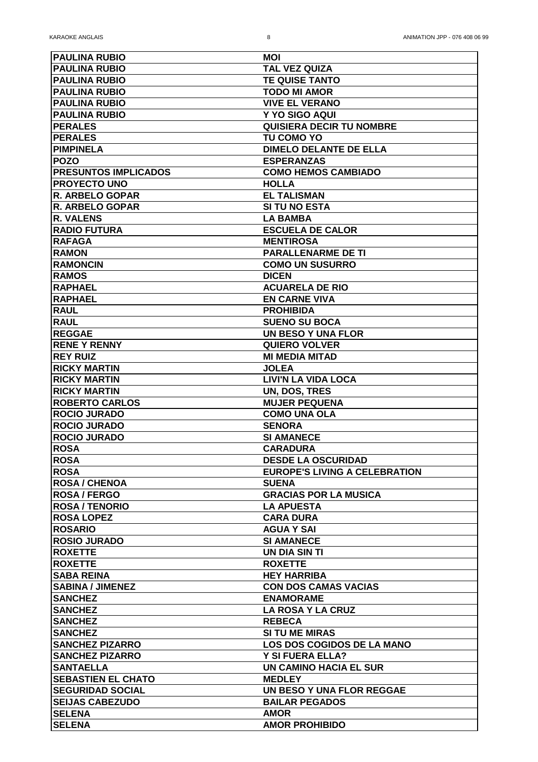| <b>PAULINA RUBIO</b>                         | <b>MOI</b>                                    |
|----------------------------------------------|-----------------------------------------------|
| <b>PAULINA RUBIO</b>                         | <b>TAL VEZ QUIZA</b>                          |
| <b>PAULINA RUBIO</b>                         | <b>TE QUISE TANTO</b>                         |
| <b>PAULINA RUBIO</b>                         | <b>TODO MI AMOR</b>                           |
| <b>PAULINA RUBIO</b>                         | <b>VIVE EL VERANO</b>                         |
| <b>PAULINA RUBIO</b>                         | Y YO SIGO AQUI                                |
| <b>PERALES</b>                               | <b>QUISIERA DECIR TU NOMBRE</b>               |
| <b>PERALES</b>                               | <b>TU COMO YO</b>                             |
| <b>IPIMPINELA</b>                            | <b>DIMELO DELANTE DE ELLA</b>                 |
| <b>POZO</b>                                  | <b>ESPERANZAS</b>                             |
| <b>PRESUNTOS IMPLICADOS</b>                  | <b>COMO HEMOS CAMBIADO</b>                    |
| <b>IPROYECTO UNO</b>                         | <b>HOLLA</b>                                  |
| <b>R. ARBELO GOPAR</b>                       | <b>EL TALISMAN</b>                            |
| <b>R. ARBELO GOPAR</b>                       | <b>SI TU NO ESTA</b>                          |
| <b>IR. VALENS</b>                            | <b>LA BAMBA</b>                               |
| <b>RADIO FUTURA</b>                          | <b>ESCUELA DE CALOR</b>                       |
| <b>RAFAGA</b>                                | <b>MENTIROSA</b>                              |
| <b>RAMON</b>                                 | <b>PARALLENARME DE TI</b>                     |
|                                              |                                               |
| <b>RAMONCIN</b>                              | <b>COMO UN SUSURRO</b>                        |
| <b>RAMOS</b><br><b>RAPHAEL</b>               | <b>DICEN</b><br><b>ACUARELA DE RIO</b>        |
| <b>RAPHAEL</b>                               |                                               |
| <b>RAUL</b>                                  | <b>EN CARNE VIVA</b>                          |
|                                              | <b>PROHIBIDA</b>                              |
| <b>RAUL</b><br><b>IREGGAE</b>                | <b>SUENO SU BOCA</b>                          |
| <b>RENE Y RENNY</b>                          | <b>UN BESO Y UNA FLOR</b>                     |
|                                              | <b>QUIERO VOLVER</b><br><b>MI MEDIA MITAD</b> |
| <b>REY RUIZ</b>                              |                                               |
| <b>IRICKY MARTIN</b>                         | <b>JOLEA</b>                                  |
| <b>RICKY MARTIN</b>                          | <b>LIVI'N LA VIDA LOCA</b>                    |
| <b>RICKY MARTIN</b><br><b>ROBERTO CARLOS</b> | UN, DOS, TRES<br><b>MUJER PEQUENA</b>         |
| <b>ROCIO JURADO</b>                          | <b>COMO UNA OLA</b>                           |
| <b>ROCIO JURADO</b>                          | <b>SENORA</b>                                 |
| <b>ROCIO JURADO</b>                          | <b>SI AMANECE</b>                             |
| <b>ROSA</b>                                  | <b>CARADURA</b>                               |
| <b>ROSA</b>                                  | <b>DESDE LA OSCURIDAD</b>                     |
| <b>ROSA</b>                                  | <b>EUROPE'S LIVING A CELEBRATION</b>          |
| <b>ROSA / CHENOA</b>                         | <b>SUENA</b>                                  |
| <b>ROSA / FERGO</b>                          | <b>GRACIAS POR LA MUSICA</b>                  |
| <b>ROSA / TENORIO</b>                        | <b>LA APUESTA</b>                             |
| <b>ROSA LOPEZ</b>                            | <b>CARA DURA</b>                              |
| <b>ROSARIO</b>                               | <b>AGUA Y SAI</b>                             |
| <b>ROSIO JURADO</b>                          | <b>SI AMANECE</b>                             |
| <b>ROXETTE</b>                               | <b>UN DIA SIN TI</b>                          |
| <b>ROXETTE</b>                               | <b>ROXETTE</b>                                |
| <b>SABA REINA</b>                            | <b>HEY HARRIBA</b>                            |
| <b>SABINA / JIMENEZ</b>                      | <b>CON DOS CAMAS VACIAS</b>                   |
| <b>SANCHEZ</b>                               | <b>ENAMORAME</b>                              |
| <b>SANCHEZ</b>                               | <b>LA ROSA Y LA CRUZ</b>                      |
| <b>SANCHEZ</b>                               | <b>REBECA</b>                                 |
| <b>SANCHEZ</b>                               | <b>SI TU ME MIRAS</b>                         |
| <b>SANCHEZ PIZARRO</b>                       | <b>LOS DOS COGIDOS DE LA MANO</b>             |
| <b>SANCHEZ PIZARRO</b>                       | <b>Y SI FUERA ELLA?</b>                       |
| <b>ISANTAELLA</b>                            | <b>UN CAMINO HACIA EL SUR</b>                 |
| <b>SEBASTIEN EL CHATO</b>                    | <b>MEDLEY</b>                                 |
| <b>SEGURIDAD SOCIAL</b>                      | UN BESO Y UNA FLOR REGGAE                     |
| <b>SEIJAS CABEZUDO</b>                       | <b>BAILAR PEGADOS</b>                         |
| <b>SELENA</b>                                | <b>AMOR</b>                                   |
| <b>SELENA</b>                                | <b>AMOR PROHIBIDO</b>                         |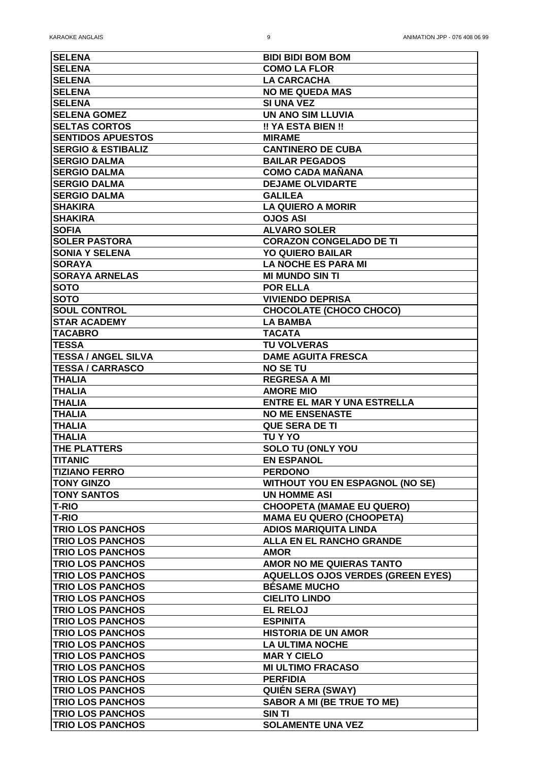| <b>SELENA</b>                 | <b>BIDI BIDI BOM BOM</b>                 |
|-------------------------------|------------------------------------------|
| <b>SELENA</b>                 | <b>COMO LA FLOR</b>                      |
| <b>SELENA</b>                 | <b>LA CARCACHA</b>                       |
| <b>SELENA</b>                 | <b>NO ME QUEDA MAS</b>                   |
| <b>SELENA</b>                 | <b>SI UNA VEZ</b>                        |
| <b>SELENA GOMEZ</b>           | UN ANO SIM LLUVIA                        |
| <b>SELTAS CORTOS</b>          | !! YA ESTA BIEN !!                       |
| <b>ISENTIDOS APUESTOS</b>     | <b>MIRAME</b>                            |
| <b>SERGIO &amp; ESTIBALIZ</b> | <b>CANTINERO DE CUBA</b>                 |
| <b>SERGIO DALMA</b>           | <b>BAILAR PEGADOS</b>                    |
| <b>ISERGIO DALMA</b>          | <b>COMO CADA MAÑANA</b>                  |
| <b>SERGIO DALMA</b>           | <b>DEJAME OLVIDARTE</b>                  |
| <b>SERGIO DALMA</b>           | <b>GALILEA</b>                           |
| <b>SHAKIRA</b>                | <b>LA QUIERO A MORIR</b>                 |
| <b>SHAKIRA</b>                | <b>OJOS ASI</b>                          |
| <b>SOFIA</b>                  | <b>ALVARO SOLER</b>                      |
| <b>SOLER PASTORA</b>          | <b>CORAZON CONGELADO DE TI</b>           |
|                               |                                          |
| <b>SONIA Y SELENA</b>         | <b>YO QUIERO BAILAR</b>                  |
| <b>SORAYA</b>                 | <b>LA NOCHE ES PARA MI</b>               |
| <b>SORAYA ARNELAS</b>         | <b>MI MUNDO SIN TI</b>                   |
| <b>ISOTO</b>                  | <b>POR ELLA</b>                          |
| <b>SOTO</b>                   | <b>VIVIENDO DEPRISA</b>                  |
| <b>SOUL CONTROL</b>           | <b>CHOCOLATE (CHOCO CHOCO)</b>           |
| <b>ISTAR ACADEMY</b>          | <b>LA BAMBA</b>                          |
| <b>ITACABRO</b>               | <b>TACATA</b>                            |
| <b>TESSA</b>                  | <b>TU VOLVERAS</b>                       |
| <b> TESSA / ANGEL SILVA</b>   | <b>DAME AGUITA FRESCA</b>                |
| <b>TESSA / CARRASCO</b>       | <b>NO SE TU</b>                          |
| <b>THALIA</b>                 | <b>REGRESA A MI</b>                      |
| <b>THALIA</b>                 | <b>AMORE MIO</b>                         |
| <b>THALIA</b>                 | <b>ENTRE EL MAR Y UNA ESTRELLA</b>       |
| <b>THALIA</b>                 | <b>NO ME ENSENASTE</b>                   |
| <b>THALIA</b>                 | <b>QUE SERA DE TI</b>                    |
| <b>ITHALIA</b>                | <b>TU Y YO</b>                           |
| <b>THE PLATTERS</b>           | <b>SOLO TU (ONLY YOU</b>                 |
| <b>TITANIC</b>                | <b>EN ESPANOL</b>                        |
| <b>TIZIANO FERRO</b>          | <b>PERDONO</b>                           |
| <b>TONY GINZO</b>             | <b>WITHOUT YOU EN ESPAGNOL (NO SE)</b>   |
| <b>TONY SANTOS</b>            | <b>UN HOMME ASI</b>                      |
| <b>T-RIO</b>                  | <b>CHOOPETA (MAMAE EU QUERO)</b>         |
| <b>T-RIO</b>                  | <b>MAMA EU QUERO (CHOOPETA)</b>          |
| <b>TRIO LOS PANCHOS</b>       | <b>ADIOS MARIQUITA LINDA</b>             |
| <b>TRIO LOS PANCHOS</b>       | <b>ALLA EN EL RANCHO GRANDE</b>          |
| <b>TRIO LOS PANCHOS</b>       | <b>AMOR</b>                              |
| <b>TRIO LOS PANCHOS</b>       | <b>AMOR NO ME QUIERAS TANTO</b>          |
| <b>TRIO LOS PANCHOS</b>       | <b>AQUELLOS OJOS VERDES (GREEN EYES)</b> |
| <b>TRIO LOS PANCHOS</b>       | <b>BESAME MUCHO</b>                      |
| <b>TRIO LOS PANCHOS</b>       | <b>CIELITO LINDO</b>                     |
| <b>TRIO LOS PANCHOS</b>       | <b>EL RELOJ</b>                          |
| <b>TRIO LOS PANCHOS</b>       | <b>ESPINITA</b>                          |
| <b>TRIO LOS PANCHOS</b>       | <b>HISTORIA DE UN AMOR</b>               |
|                               | <b>LA ULTIMA NOCHE</b>                   |
| <b>TRIO LOS PANCHOS</b>       |                                          |
| <b>TRIO LOS PANCHOS</b>       | <b>MAR Y CIELO</b>                       |
| <b>TRIO LOS PANCHOS</b>       | <b>MI ULTIMO FRACASO</b>                 |
| <b>TRIO LOS PANCHOS</b>       | <b>PERFIDIA</b>                          |
| <b>TRIO LOS PANCHOS</b>       | <b>QUIÉN SERA (SWAY)</b>                 |
| <b>TRIO LOS PANCHOS</b>       | <b>SABOR A MI (BE TRUE TO ME)</b>        |
| <b>TRIO LOS PANCHOS</b>       | <b>SIN TI</b>                            |
| <b>TRIO LOS PANCHOS</b>       | <b>SOLAMENTE UNA VEZ</b>                 |